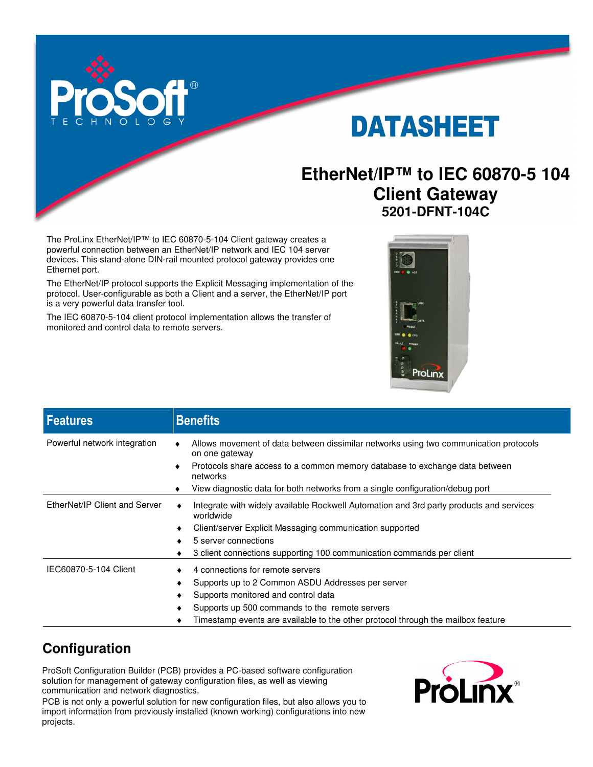

# DATASHEET

# **EtherNet/IP™ to IEC 60870-5 104 Client Gateway 5201-DFNT-104C**

The ProLinx EtherNet/IP™ to IEC 60870-5-104 Client gateway creates a powerful connection between an EtherNet/IP network and IEC 104 server devices. This stand-alone DIN-rail mounted protocol gateway provides one Ethernet port.

The EtherNet/IP protocol supports the Explicit Messaging implementation of the protocol. User-configurable as both a Client and a server, the EtherNet/IP port is a very powerful data transfer tool.

The IEC 60870-5-104 client protocol implementation allows the transfer of monitored and control data to remote servers.



| <b>Features</b>               | <b>Benefits</b>                                                                                                                                                                                                                                                              |
|-------------------------------|------------------------------------------------------------------------------------------------------------------------------------------------------------------------------------------------------------------------------------------------------------------------------|
| Powerful network integration  | Allows movement of data between dissimilar networks using two communication protocols<br>on one gateway<br>Protocols share access to a common memory database to exchange data between<br>networks                                                                           |
|                               | View diagnostic data for both networks from a single configuration/debug port                                                                                                                                                                                                |
| EtherNet/IP Client and Server | Integrate with widely available Rockwell Automation and 3rd party products and services<br>worldwide<br>Client/server Explicit Messaging communication supported<br>٠<br>5 server connections<br>3 client connections supporting 100 communication commands per client<br>٠  |
| IEC60870-5-104 Client         | 4 connections for remote servers<br>Supports up to 2 Common ASDU Addresses per server<br>Supports monitored and control data<br>٠<br>Supports up 500 commands to the remote servers<br>Timestamp events are available to the other protocol through the mailbox feature<br>٠ |

# **Configuration**

ProSoft Configuration Builder (PCB) provides a PC-based software configuration solution for management of gateway configuration files, as well as viewing communication and network diagnostics.

PCB is not only a powerful solution for new configuration files, but also allows you to import information from previously installed (known working) configurations into new projects.

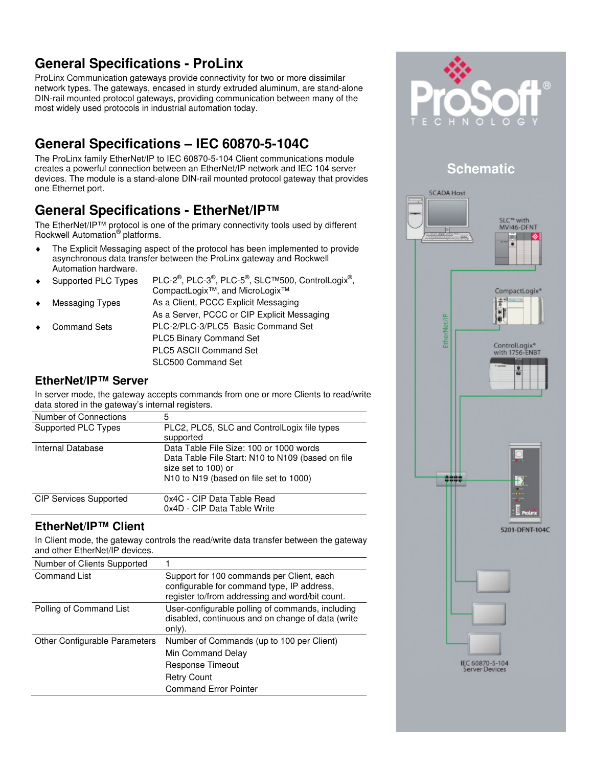# **General Specifications - ProLinx**

ProLinx Communication gateways provide connectivity for two or more dissimilar network types. The gateways, encased in sturdy extruded aluminum, are stand-alone DIN-rail mounted protocol gateways, providing communication between many of the most widely used protocols in industrial automation today.

# **General Specifications – IEC 60870-5-104C**

The ProLinx family EtherNet/IP to IEC 60870-5-104 Client communications module creates a powerful connection between an EtherNet/IP network and IEC 104 server devices. The module is a stand-alone DIN-rail mounted protocol gateway that provides one Ethernet port.

### **General Specifications - EtherNet/IP™**

The EtherNet/IP™ protocol is one of the primary connectivity tools used by different Rockwell Automation<sup>®</sup> platforms.

- ♦ The Explicit Messaging aspect of the protocol has been implemented to provide asynchronous data transfer between the ProLinx gateway and Rockwell Automation hardware.
- $\bullet$  Supported PLC Types , PLC-3 $^{\circledR}$ , PLC-5 $^{\circledR}$ , SLC™500, ControlLogix $^{\circledR}$ , CompactLogix™, and MicroLogix™ Messaging Types As a Client, PCCC Explicit Messaging As a Server, PCCC or CIP Explicit Messaging Command Sets PLC-2/PLC-3/PLC5 Basic Command Set PLC5 Binary Command Set PLC5 ASCII Command Set SLC500 Command Set

#### **EtherNet/IP™ Server**

In server mode, the gateway accepts commands from one or more Clients to read/write data stored in the gateway's internal registers.

| Number of Connections | 5                                                                                                                                                             |
|-----------------------|---------------------------------------------------------------------------------------------------------------------------------------------------------------|
| Supported PLC Types   | PLC2, PLC5, SLC and ControlLogix file types<br>supported                                                                                                      |
| Internal Database     | Data Table File Size: 100 or 1000 words<br>Data Table File Start: N10 to N109 (based on file<br>size set to 100) or<br>N10 to N19 (based on file set to 1000) |
|                       |                                                                                                                                                               |

| <b>CIP Services Supported</b> | 0x4C - CIP Data Table Read  |
|-------------------------------|-----------------------------|
|                               | 0x4D - CIP Data Table Write |
|                               |                             |

### **EtherNet/IP™ Client**

In Client mode, the gateway controls the read/write data transfer between the gateway and other EtherNet/IP devices.

| Number of Clients Supported   |                                                                                                                                            |
|-------------------------------|--------------------------------------------------------------------------------------------------------------------------------------------|
| <b>Command List</b>           | Support for 100 commands per Client, each<br>configurable for command type, IP address,<br>register to/from addressing and word/bit count. |
| Polling of Command List       | User-configurable polling of commands, including<br>disabled, continuous and on change of data (write<br>only).                            |
| Other Configurable Parameters | Number of Commands (up to 100 per Client)<br>Min Command Delay<br>Response Timeout                                                         |
|                               | <b>Retry Count</b><br><b>Command Error Pointer</b>                                                                                         |



### **Schematic**

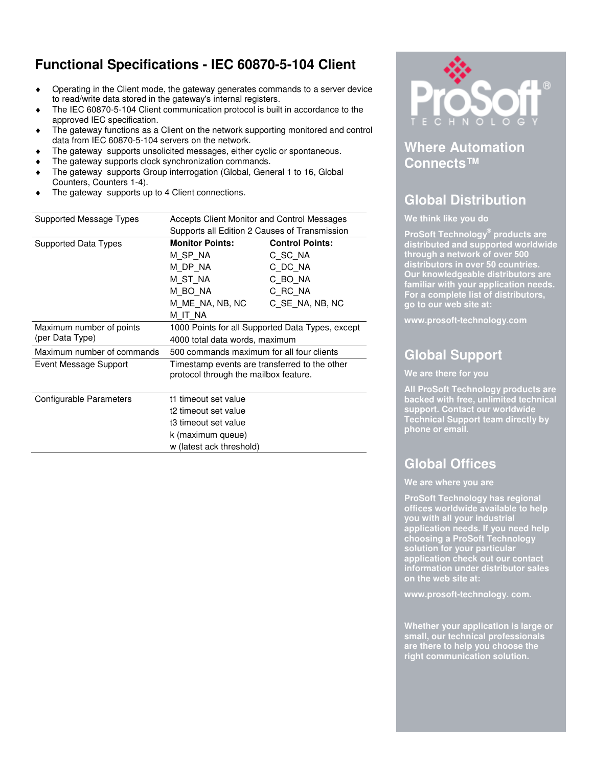## **Functional Specifications - IEC 60870-5-104 Client**

- ♦ Operating in the Client mode, the gateway generates commands to a server device to read/write data stored in the gateway's internal registers.
- The IEC 60870-5-104 Client communication protocol is built in accordance to the approved IEC specification.
- The gateway functions as a Client on the network supporting monitored and control data from IEC 60870-5-104 servers on the network.
- The gateway supports unsolicited messages, either cyclic or spontaneous.
- The gateway supports clock synchronization commands.
- The gateway supports Group interrogation (Global, General 1 to 16, Global Counters, Counters 1-4).
- The gateway supports up to 4 Client connections.

| Supported Message Types    | Accepts Client Monitor and Control Messages      |                        |  |
|----------------------------|--------------------------------------------------|------------------------|--|
|                            | Supports all Edition 2 Causes of Transmission    |                        |  |
| Supported Data Types       | <b>Monitor Points:</b>                           | <b>Control Points:</b> |  |
|                            | M SP NA                                          | C SC NA                |  |
|                            | M DP NA                                          | C DC NA                |  |
|                            | M ST NA                                          | C BO NA                |  |
|                            | M BO NA                                          | C RC NA                |  |
|                            | M ME NA, NB, NC                                  | C SE NA, NB, NC        |  |
|                            | M IT NA                                          |                        |  |
| Maximum number of points   | 1000 Points for all Supported Data Types, except |                        |  |
| (per Data Type)            | 4000 total data words, maximum                   |                        |  |
| Maximum number of commands | 500 commands maximum for all four clients        |                        |  |
| Event Message Support      | Timestamp events are transferred to the other    |                        |  |
|                            | protocol through the mailbox feature.            |                        |  |
|                            |                                                  |                        |  |
| Configurable Parameters    | t1 timeout set value                             |                        |  |
|                            | t2 timeout set value                             |                        |  |
|                            | t3 timeout set value                             |                        |  |
|                            | k (maximum queue)                                |                        |  |
|                            | w (latest ack threshold)                         |                        |  |



### **Where Automation Connects™**

## **Global Distribution**

#### **We think like you do**

**ProSoft Technology® products are distributed and supported worldwide through a network of over 500 distributors in over 50 countries. Our knowledgeable distributors are familiar with your application needs. For a complete list of distributors, go to our web site at:** 

**www.prosoft-technology.com** 

# **Global Support**

#### **We are there for you**

**All ProSoft Technology products are backed with free, unlimited technical support. Contact our worldwide Technical Support team directly by phone or email.** 

# **Global Offices**

#### **We are where you are**

**ProSoft Technology has regional offices worldwide available to help you with all your industrial application needs. If you need help choosing a ProSoft Technology solution for your particular application check out our contact information under distributor sales on the web site at:** 

**www.prosoft-technology. com.** 

**Whether your application is large or small, our technical professionals are there to help you choose the right communication solution.**